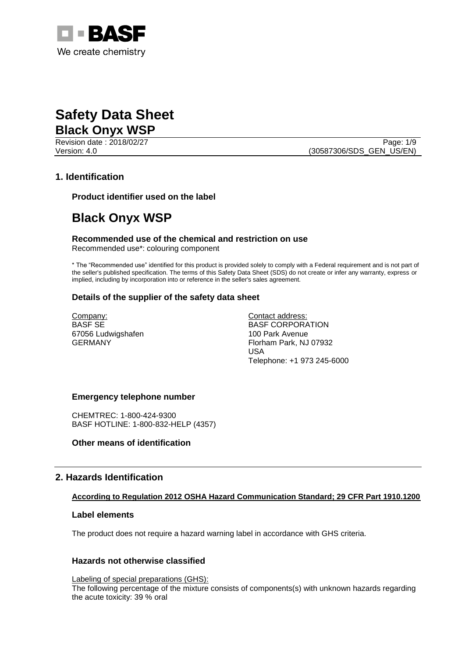

Revision date : 2018/02/27 Page: 1/9

Version: 4.0 (30587306/SDS\_GEN\_US/EN)

# **1. Identification**

**Product identifier used on the label**

# **Black Onyx WSP**

**Recommended use of the chemical and restriction on use** Recommended use\*: colouring component

\* The "Recommended use" identified for this product is provided solely to comply with a Federal requirement and is not part of the seller's published specification. The terms of this Safety Data Sheet (SDS) do not create or infer any warranty, express or implied, including by incorporation into or reference in the seller's sales agreement.

# **Details of the supplier of the safety data sheet**

Company: BASF SE 67056 Ludwigshafen GERMANY

Contact address: BASF CORPORATION 100 Park Avenue Florham Park, NJ 07932 USA Telephone: +1 973 245-6000

### **Emergency telephone number**

CHEMTREC: 1-800-424-9300 BASF HOTLINE: 1-800-832-HELP (4357)

# **Other means of identification**

# **2. Hazards Identification**

# **According to Regulation 2012 OSHA Hazard Communication Standard; 29 CFR Part 1910.1200**

### **Label elements**

The product does not require a hazard warning label in accordance with GHS criteria.

# **Hazards not otherwise classified**

Labeling of special preparations (GHS): The following percentage of the mixture consists of components(s) with unknown hazards regarding the acute toxicity: 39 % oral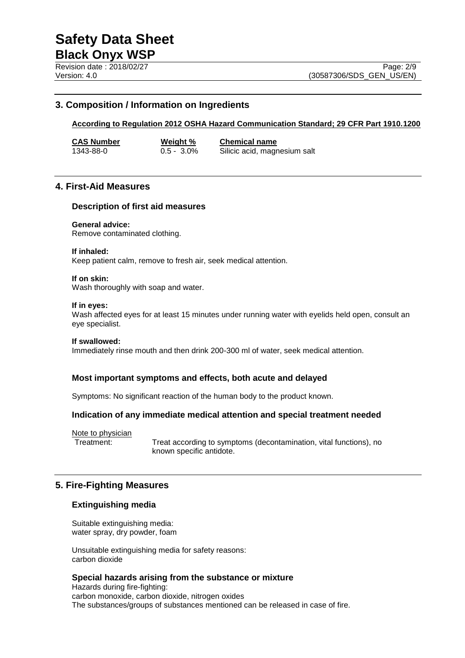# **3. Composition / Information on Ingredients**

### **According to Regulation 2012 OSHA Hazard Communication Standard; 29 CFR Part 1910.1200**

**CAS Number Weight % Chemical name** 1343-88-0 0.5 - 3.0% Silicic acid, magnesium salt

# **4. First-Aid Measures**

### **Description of first aid measures**

### **General advice:**

Remove contaminated clothing.

### **If inhaled:**

Keep patient calm, remove to fresh air, seek medical attention.

### **If on skin:**

Wash thoroughly with soap and water.

### **If in eyes:**

Wash affected eyes for at least 15 minutes under running water with eyelids held open, consult an eye specialist.

### **If swallowed:**

Immediately rinse mouth and then drink 200-300 ml of water, seek medical attention.

### **Most important symptoms and effects, both acute and delayed**

Symptoms: No significant reaction of the human body to the product known.

### **Indication of any immediate medical attention and special treatment needed**

Note to physician<br>Treatment:

Treat according to symptoms (decontamination, vital functions), no known specific antidote.

# **5. Fire-Fighting Measures**

### **Extinguishing media**

Suitable extinguishing media: water spray, dry powder, foam

Unsuitable extinguishing media for safety reasons: carbon dioxide

### **Special hazards arising from the substance or mixture**

Hazards during fire-fighting: carbon monoxide, carbon dioxide, nitrogen oxides The substances/groups of substances mentioned can be released in case of fire.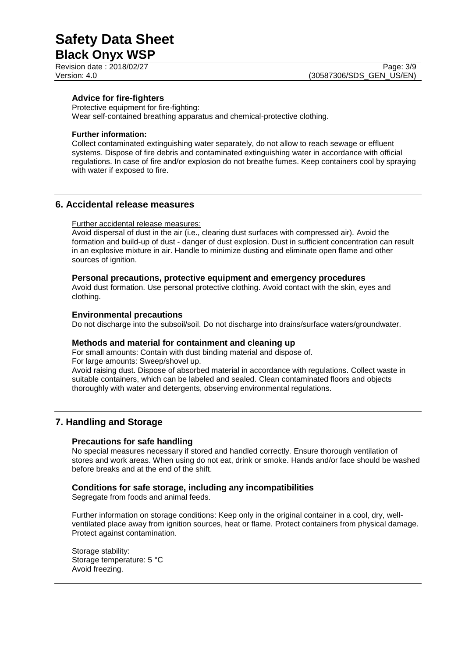Revision date : 2018/02/27 Page: 3/9

# **Advice for fire-fighters**

Protective equipment for fire-fighting: Wear self-contained breathing apparatus and chemical-protective clothing.

### **Further information:**

Collect contaminated extinguishing water separately, do not allow to reach sewage or effluent systems. Dispose of fire debris and contaminated extinguishing water in accordance with official regulations. In case of fire and/or explosion do not breathe fumes. Keep containers cool by spraying with water if exposed to fire.

# **6. Accidental release measures**

### Further accidental release measures:

Avoid dispersal of dust in the air (i.e., clearing dust surfaces with compressed air). Avoid the formation and build-up of dust - danger of dust explosion. Dust in sufficient concentration can result in an explosive mixture in air. Handle to minimize dusting and eliminate open flame and other sources of ignition.

### **Personal precautions, protective equipment and emergency procedures**

Avoid dust formation. Use personal protective clothing. Avoid contact with the skin, eyes and clothing.

### **Environmental precautions**

Do not discharge into the subsoil/soil. Do not discharge into drains/surface waters/groundwater.

### **Methods and material for containment and cleaning up**

For small amounts: Contain with dust binding material and dispose of. For large amounts: Sweep/shovel up.

Avoid raising dust. Dispose of absorbed material in accordance with regulations. Collect waste in suitable containers, which can be labeled and sealed. Clean contaminated floors and objects thoroughly with water and detergents, observing environmental regulations.

# **7. Handling and Storage**

# **Precautions for safe handling**

No special measures necessary if stored and handled correctly. Ensure thorough ventilation of stores and work areas. When using do not eat, drink or smoke. Hands and/or face should be washed before breaks and at the end of the shift.

# **Conditions for safe storage, including any incompatibilities**

Segregate from foods and animal feeds.

Further information on storage conditions: Keep only in the original container in a cool, dry, wellventilated place away from ignition sources, heat or flame. Protect containers from physical damage. Protect against contamination.

Storage stability: Storage temperature: 5 °C Avoid freezing.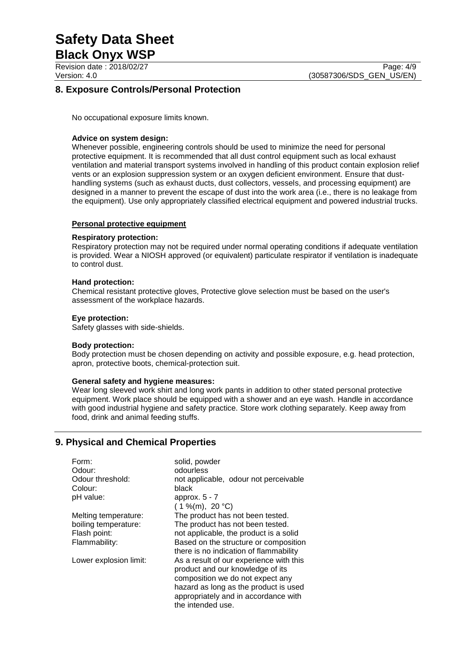Revision date : 2018/02/27 Page: 4/9

# **8. Exposure Controls/Personal Protection**

No occupational exposure limits known.

### **Advice on system design:**

Whenever possible, engineering controls should be used to minimize the need for personal protective equipment. It is recommended that all dust control equipment such as local exhaust ventilation and material transport systems involved in handling of this product contain explosion relief vents or an explosion suppression system or an oxygen deficient environment. Ensure that dusthandling systems (such as exhaust ducts, dust collectors, vessels, and processing equipment) are designed in a manner to prevent the escape of dust into the work area (i.e., there is no leakage from the equipment). Use only appropriately classified electrical equipment and powered industrial trucks.

### **Personal protective equipment**

### **Respiratory protection:**

Respiratory protection may not be required under normal operating conditions if adequate ventilation is provided. Wear a NIOSH approved (or equivalent) particulate respirator if ventilation is inadequate to control dust.

### **Hand protection:**

Chemical resistant protective gloves, Protective glove selection must be based on the user's assessment of the workplace hazards.

### **Eye protection:**

Safety glasses with side-shields.

### **Body protection:**

Body protection must be chosen depending on activity and possible exposure, e.g. head protection, apron, protective boots, chemical-protection suit.

### **General safety and hygiene measures:**

Wear long sleeved work shirt and long work pants in addition to other stated personal protective equipment. Work place should be equipped with a shower and an eye wash. Handle in accordance with good industrial hygiene and safety practice. Store work clothing separately. Keep away from food, drink and animal feeding stuffs.

# **9. Physical and Chemical Properties**

| Form:                  | solid, powder                           |
|------------------------|-----------------------------------------|
| Odour:                 | odourless                               |
| Odour threshold:       | not applicable, odour not perceivable   |
| Colour:                | black                                   |
| pH value:              | approx. $5 - 7$                         |
|                        | $(1\%$ (m), 20 °C)                      |
| Melting temperature:   | The product has not been tested.        |
| boiling temperature:   | The product has not been tested.        |
| Flash point:           | not applicable, the product is a solid  |
| Flammability:          | Based on the structure or composition   |
|                        | there is no indication of flammability  |
| Lower explosion limit: | As a result of our experience with this |
|                        | product and our knowledge of its        |
|                        | composition we do not expect any        |
|                        | hazard as long as the product is used   |
|                        | appropriately and in accordance with    |
|                        | the intended use.                       |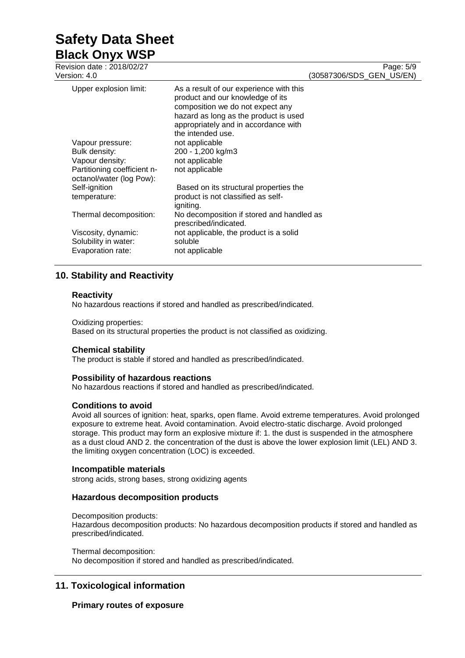# **Safety Data Sheet**

**Black Onyx WSP** Revision date : 2018/02/27

| Version: 4.0                                            |                                                                                                                                                                                                                       | $1$ ago. $0$<br>(30587306/SDS GEN US/EN) |
|---------------------------------------------------------|-----------------------------------------------------------------------------------------------------------------------------------------------------------------------------------------------------------------------|------------------------------------------|
| Upper explosion limit:                                  | As a result of our experience with this<br>product and our knowledge of its<br>composition we do not expect any<br>hazard as long as the product is used<br>appropriately and in accordance with<br>the intended use. |                                          |
| Vapour pressure:                                        | not applicable                                                                                                                                                                                                        |                                          |
| Bulk density:                                           | 200 - 1,200 kg/m3                                                                                                                                                                                                     |                                          |
| Vapour density:                                         | not applicable                                                                                                                                                                                                        |                                          |
| Partitioning coefficient n-<br>octanol/water (log Pow): | not applicable                                                                                                                                                                                                        |                                          |
| Self-ignition                                           | Based on its structural properties the                                                                                                                                                                                |                                          |
| temperature:                                            | product is not classified as self-                                                                                                                                                                                    |                                          |
|                                                         | igniting.                                                                                                                                                                                                             |                                          |
| Thermal decomposition:                                  | No decomposition if stored and handled as<br>prescribed/indicated.                                                                                                                                                    |                                          |
| Viscosity, dynamic:                                     | not applicable, the product is a solid                                                                                                                                                                                |                                          |
| Solubility in water:                                    | soluble                                                                                                                                                                                                               |                                          |
| Evaporation rate:                                       | not applicable                                                                                                                                                                                                        |                                          |

# **10. Stability and Reactivity**

# **Reactivity**

No hazardous reactions if stored and handled as prescribed/indicated.

Oxidizing properties:

Based on its structural properties the product is not classified as oxidizing.

# **Chemical stability**

The product is stable if stored and handled as prescribed/indicated.

# **Possibility of hazardous reactions**

No hazardous reactions if stored and handled as prescribed/indicated.

# **Conditions to avoid**

Avoid all sources of ignition: heat, sparks, open flame. Avoid extreme temperatures. Avoid prolonged exposure to extreme heat. Avoid contamination. Avoid electro-static discharge. Avoid prolonged storage. This product may form an explosive mixture if: 1. the dust is suspended in the atmosphere as a dust cloud AND 2. the concentration of the dust is above the lower explosion limit (LEL) AND 3. the limiting oxygen concentration (LOC) is exceeded.

# **Incompatible materials**

strong acids, strong bases, strong oxidizing agents

# **Hazardous decomposition products**

Decomposition products: Hazardous decomposition products: No hazardous decomposition products if stored and handled as prescribed/indicated.

Thermal decomposition:

No decomposition if stored and handled as prescribed/indicated.

# **11. Toxicological information**

# **Primary routes of exposure**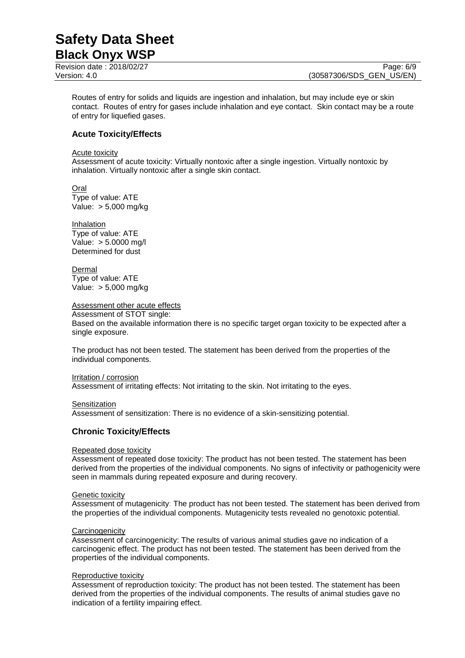Revision date : 2018/02/27 Page: 6/9

Routes of entry for solids and liquids are ingestion and inhalation, but may include eye or skin contact. Routes of entry for gases include inhalation and eye contact. Skin contact may be a route of entry for liquefied gases.

# **Acute Toxicity/Effects**

Acute toxicity

Assessment of acute toxicity: Virtually nontoxic after a single ingestion. Virtually nontoxic by inhalation. Virtually nontoxic after a single skin contact.

Oral Type of value: ATE Value: > 5,000 mg/kg

**Inhalation** Type of value: ATE Value: > 5.0000 mg/l Determined for dust

Dermal Type of value: ATE Value: > 5,000 mg/kg

# Assessment other acute effects

Assessment of STOT single: Based on the available information there is no specific target organ toxicity to be expected after a single exposure.

The product has not been tested. The statement has been derived from the properties of the individual components.

Irritation / corrosion Assessment of irritating effects: Not irritating to the skin. Not irritating to the eyes.

**Sensitization** 

Assessment of sensitization: There is no evidence of a skin-sensitizing potential.

# **Chronic Toxicity/Effects**

# Repeated dose toxicity

Assessment of repeated dose toxicity: The product has not been tested. The statement has been derived from the properties of the individual components. No signs of infectivity or pathogenicity were seen in mammals during repeated exposure and during recovery.

### Genetic toxicity

Assessment of mutagenicity: The product has not been tested. The statement has been derived from the properties of the individual components. Mutagenicity tests revealed no genotoxic potential.

### **Carcinogenicity**

Assessment of carcinogenicity: The results of various animal studies gave no indication of a carcinogenic effect. The product has not been tested. The statement has been derived from the properties of the individual components.

### Reproductive toxicity

Assessment of reproduction toxicity: The product has not been tested. The statement has been derived from the properties of the individual components. The results of animal studies gave no indication of a fertility impairing effect.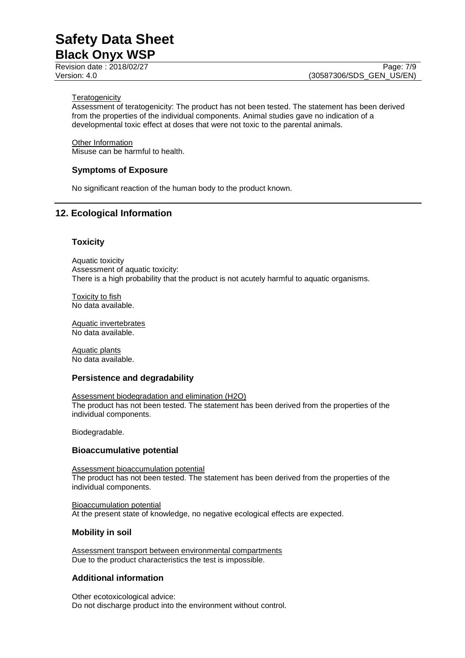Page: 7/9

### **Teratogenicity**

Assessment of teratogenicity: The product has not been tested. The statement has been derived from the properties of the individual components. Animal studies gave no indication of a developmental toxic effect at doses that were not toxic to the parental animals.

Other Information Misuse can be harmful to health.

# **Symptoms of Exposure**

No significant reaction of the human body to the product known.

# **12. Ecological Information**

# **Toxicity**

Aquatic toxicity Assessment of aquatic toxicity: There is a high probability that the product is not acutely harmful to aquatic organisms.

Toxicity to fish No data available.

Aquatic invertebrates No data available.

Aquatic plants No data available.

# **Persistence and degradability**

Assessment biodegradation and elimination (H2O) The product has not been tested. The statement has been derived from the properties of the individual components.

Biodegradable.

# **Bioaccumulative potential**

Assessment bioaccumulation potential The product has not been tested. The statement has been derived from the properties of the individual components.

Bioaccumulation potential At the present state of knowledge, no negative ecological effects are expected.

# **Mobility in soil**

Assessment transport between environmental compartments Due to the product characteristics the test is impossible.

# **Additional information**

Other ecotoxicological advice: Do not discharge product into the environment without control.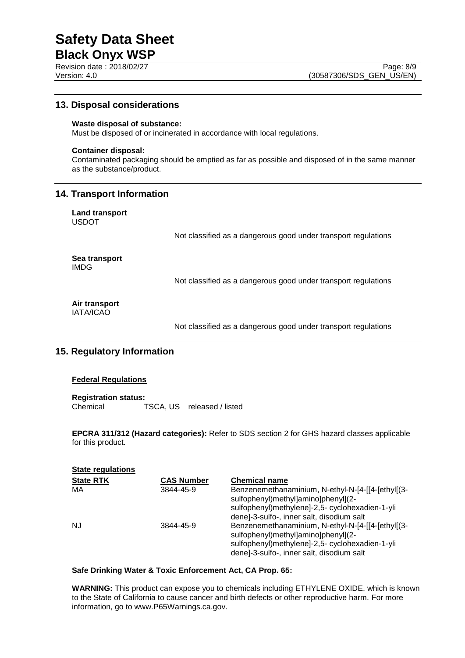Page: 8/9

# **13. Disposal considerations**

### **Waste disposal of substance:**

Must be disposed of or incinerated in accordance with local regulations.

### **Container disposal:**

Contaminated packaging should be emptied as far as possible and disposed of in the same manner as the substance/product.

# **14. Transport Information**

**Land transport** USDOT

Not classified as a dangerous good under transport regulations

**Sea transport** IMDG

Not classified as a dangerous good under transport regulations

**Air transport** IATA/ICAO

Not classified as a dangerous good under transport regulations

# **15. Regulatory Information**

### **Federal Regulations**

**Registration status:** Chemical TSCA, US released / listed

**EPCRA 311/312 (Hazard categories):** Refer to SDS section 2 for GHS hazard classes applicable for this product.

| <b>State regulations</b> |                   |                                                                                                                                             |
|--------------------------|-------------------|---------------------------------------------------------------------------------------------------------------------------------------------|
| <b>State RTK</b>         | <b>CAS Number</b> | <b>Chemical name</b>                                                                                                                        |
| MA                       | 3844-45-9         | Benzenemethanaminium, N-ethyl-N-[4-[[4-[ethyl](3-<br>sulfophenyl)methyl]amino]phenyl](2-<br>sulfophenyl)methylene]-2,5- cyclohexadien-1-yli |
| <b>NJ</b>                | 3844-45-9         | dene]-3-sulfo-, inner salt, disodium salt<br>Benzenemethanaminium, N-ethyl-N-[4-[[4-[ethyl](3-                                              |
|                          |                   | sulfophenyl)methyl]amino]phenyl](2-<br>sulfophenyl)methylene]-2,5- cyclohexadien-1-yli<br>dene]-3-sulfo-, inner salt, disodium salt         |

### **Safe Drinking Water & Toxic Enforcement Act, CA Prop. 65:**

**WARNING:** This product can expose you to chemicals including ETHYLENE OXIDE, which is known to the State of California to cause cancer and birth defects or other reproductive harm. For more information, go to www.P65Warnings.ca.gov.